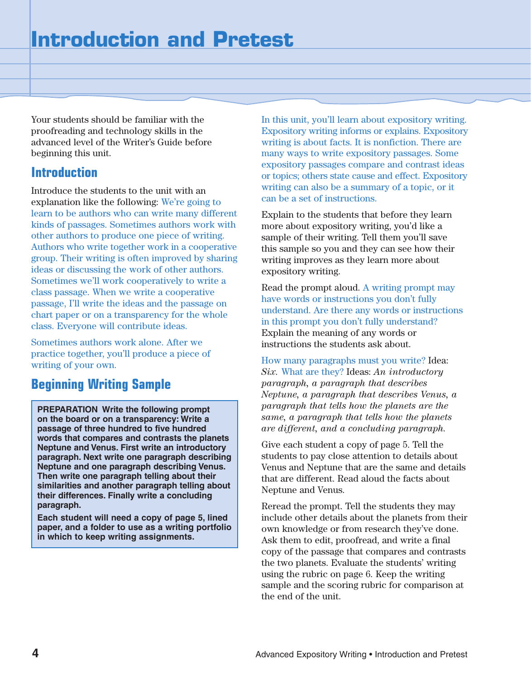Your students should be familiar with the proofreading and technology skills in the advanced level of the Writer's Guide before beginning this unit.

### **Introduction**

Introduce the students to the unit with an explanation like the following: We're going to learn to be authors who can write many different kinds of passages. Sometimes authors work with other authors to produce one piece of writing. Authors who write together work in a cooperative group. Their writing is often improved by sharing ideas or discussing the work of other authors. Sometimes we'll work cooperatively to write a class passage. When we write a cooperative passage, I'll write the ideas and the passage on chart paper or on a transparency for the whole class. Everyone will contribute ideas.

Sometimes authors work alone. After we practice together, you'll produce a piece of writing of your own.

### **Beginning Writing Sample**

**PREPARATION Write the following prompt on the board or on a transparency: Write a passage of three hundred to five hundred words that compares and contrasts the planets Neptune and Venus. First write an introductory paragraph. Next write one paragraph describing Neptune and one paragraph describing Venus. Then write one paragraph telling about their similarities and another paragraph telling about their differences. Finally write a concluding paragraph.**

**Each student will need a copy of page 5, lined paper, and a folder to use as a writing portfolio in which to keep writing assignments.**

In this unit, you'll learn about expository writing. Expository writing informs or explains. Expository writing is about facts. It is nonfiction. There are many ways to write expository passages. Some expository passages compare and contrast ideas or topics; others state cause and effect. Expository writing can also be a summary of a topic, or it can be a set of instructions.

Explain to the students that before they learn more about expository writing, you'd like a sample of their writing. Tell them you'll save this sample so you and they can see how their writing improves as they learn more about expository writing.

Read the prompt aloud. A writing prompt may have words or instructions you don't fully understand. Are there any words or instructions in this prompt you don't fully understand? Explain the meaning of any words or instructions the students ask about.

How many paragraphs must you write? Idea: *Six.* What are they? Ideas: *An introductory paragraph, a paragraph that describes Neptune, a paragraph that describes Venus, a paragraph that tells how the planets are the same, a paragraph that tells how the planets are different, and a concluding paragraph.*

Give each student a copy of page 5. Tell the students to pay close attention to details about Venus and Neptune that are the same and details that are different. Read aloud the facts about Neptune and Venus.

Reread the prompt. Tell the students they may include other details about the planets from their own knowledge or from research they've done. Ask them to edit, proofread, and write a final copy of the passage that compares and contrasts the two planets. Evaluate the students' writing using the rubric on page 6. Keep the writing sample and the scoring rubric for comparison at the end of the unit.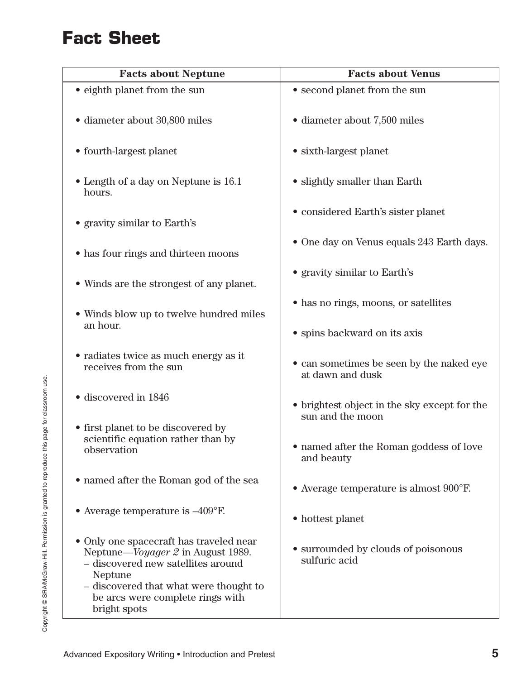# **Fact Sheet**

| <b>Facts about Neptune</b>                                                                                                                                                                                                  | <b>Facts about Venus</b>                                         |  |  |
|-----------------------------------------------------------------------------------------------------------------------------------------------------------------------------------------------------------------------------|------------------------------------------------------------------|--|--|
| • eighth planet from the sun                                                                                                                                                                                                | • second planet from the sun                                     |  |  |
| • diameter about 30,800 miles                                                                                                                                                                                               | · diameter about 7,500 miles                                     |  |  |
| • fourth-largest planet                                                                                                                                                                                                     | • sixth-largest planet                                           |  |  |
| • Length of a day on Neptune is 16.1<br>hours.                                                                                                                                                                              | • slightly smaller than Earth                                    |  |  |
| • gravity similar to Earth's                                                                                                                                                                                                | • considered Earth's sister planet                               |  |  |
| • has four rings and thirteen moons                                                                                                                                                                                         | • One day on Venus equals 243 Earth days.                        |  |  |
| • Winds are the strongest of any planet.                                                                                                                                                                                    | • gravity similar to Earth's                                     |  |  |
| • Winds blow up to twelve hundred miles<br>an hour.                                                                                                                                                                         | • has no rings, moons, or satellites                             |  |  |
|                                                                                                                                                                                                                             | • spins backward on its axis                                     |  |  |
| • radiates twice as much energy as it<br>receives from the sun                                                                                                                                                              | • can sometimes be seen by the naked eye<br>at dawn and dusk     |  |  |
| · discovered in 1846                                                                                                                                                                                                        | • brightest object in the sky except for the<br>sun and the moon |  |  |
| • first planet to be discovered by                                                                                                                                                                                          |                                                                  |  |  |
| scientific equation rather than by<br>observation                                                                                                                                                                           | • named after the Roman goddess of love<br>and beauty            |  |  |
| $\bullet$ named after the Roman god of the sea                                                                                                                                                                              | Average temperature is almost 900°F.                             |  |  |
| • Average temperature is $-409^{\circ}$ F.                                                                                                                                                                                  | • hottest planet                                                 |  |  |
| • Only one spacecraft has traveled near<br>Neptune—Voyager 2 in August 1989.<br>- discovered new satellites around<br>Neptune<br>- discovered that what were thought to<br>be arcs were complete rings with<br>bright spots | • surrounded by clouds of poisonous<br>sulfuric acid             |  |  |